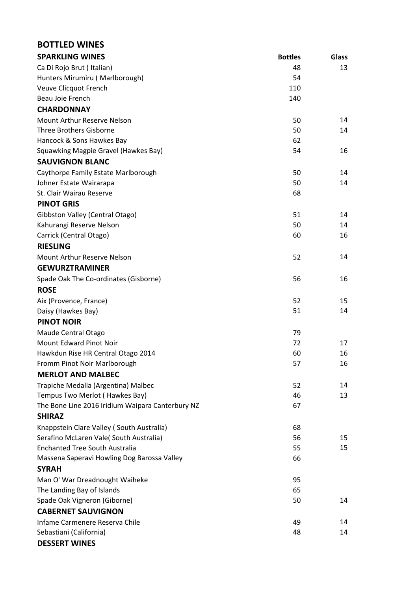| <b>BOTTLED WINES</b>                             |                |              |
|--------------------------------------------------|----------------|--------------|
| <b>SPARKLING WINES</b>                           | <b>Bottles</b> | <b>Glass</b> |
| Ca Di Rojo Brut (Italian)                        | 48             | 13           |
| Hunters Mirumiru (Marlborough)                   | 54             |              |
| Veuve Clicquot French                            | 110            |              |
| Beau Joie French                                 | 140            |              |
| <b>CHARDONNAY</b>                                |                |              |
| Mount Arthur Reserve Nelson                      | 50             | 14           |
| <b>Three Brothers Gisborne</b>                   | 50             | 14           |
| Hancock & Sons Hawkes Bay                        | 62             |              |
| Squawking Magpie Gravel (Hawkes Bay)             | 54             | 16           |
| <b>SAUVIGNON BLANC</b>                           |                |              |
| Caythorpe Family Estate Marlborough              | 50             | 14           |
| Johner Estate Wairarapa                          | 50             | 14           |
| St. Clair Wairau Reserve                         | 68             |              |
| <b>PINOT GRIS</b>                                |                |              |
| Gibbston Valley (Central Otago)                  | 51             | 14           |
| Kahurangi Reserve Nelson                         | 50             | 14           |
| Carrick (Central Otago)                          | 60             | 16           |
| <b>RIESLING</b>                                  |                |              |
| Mount Arthur Reserve Nelson                      | 52             | 14           |
| <b>GEWURZTRAMINER</b>                            |                |              |
| Spade Oak The Co-ordinates (Gisborne)            | 56             | 16           |
| <b>ROSE</b>                                      |                |              |
| Aix (Provence, France)                           | 52             | 15           |
| Daisy (Hawkes Bay)                               | 51             | 14           |
| <b>PINOT NOIR</b>                                |                |              |
| Maude Central Otago                              | 79             |              |
| <b>Mount Edward Pinot Noir</b>                   | 72             | 17           |
| Hawkdun Rise HR Central Otago 2014               | 60             | 16           |
| Fromm Pinot Noir Marlborough                     | 57             | 16           |
| <b>MERLOT AND MALBEC</b>                         |                |              |
| Trapiche Medalla (Argentina) Malbec              | 52             | 14           |
| Tempus Two Merlot (Hawkes Bay)                   | 46             | 13           |
| The Bone Line 2016 Iridium Waipara Canterbury NZ | 67             |              |
| <b>SHIRAZ</b>                                    |                |              |
| Knappstein Clare Valley (South Australia)        | 68             |              |
| Serafino McLaren Vale(South Australia)           | 56             | 15           |
| <b>Enchanted Tree South Australia</b>            | 55             | 15           |
| Massena Saperavi Howling Dog Barossa Valley      | 66             |              |
| <b>SYRAH</b>                                     |                |              |
| Man O' War Dreadnought Waiheke                   | 95             |              |
| The Landing Bay of Islands                       | 65             |              |
| Spade Oak Vigneron (Giborne)                     | 50             | 14           |
| <b>CABERNET SAUVIGNON</b>                        |                |              |
| Infame Carmenere Reserva Chile                   | 49             | 14           |
| Sebastiani (California)                          | 48             | 14           |
| <b>DESSERT WINES</b>                             |                |              |